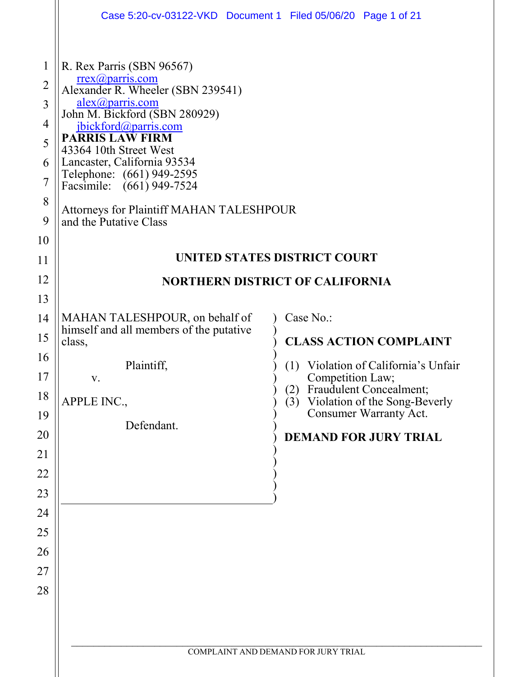|                                                                                              | Case 5:20-cv-03122-VKD  Document 1  Filed 05/06/20  Page 1 of 21                                                                                                                                                                                                                                                                                                                          |                                                                                                                                                                                                                                              |  |
|----------------------------------------------------------------------------------------------|-------------------------------------------------------------------------------------------------------------------------------------------------------------------------------------------------------------------------------------------------------------------------------------------------------------------------------------------------------------------------------------------|----------------------------------------------------------------------------------------------------------------------------------------------------------------------------------------------------------------------------------------------|--|
| $\mathbf{1}$<br>$\overline{2}$<br>3<br>4<br>5<br>6<br>$\overline{7}$<br>8<br>9               | R. Rex Parris (SBN 96567)<br>$r$ rex $(a)$ parris.com<br>Alexander R. Wheeler (SBN 239541)<br>alex@parris.com<br>John M. Bickford (SBN 280929)<br>jbickford@parris.com<br>PARRIS LAW FIRM<br>43364 10th Street West<br>Lancaster, California 93534<br>Telephone: (661) 949-2595<br>Facsimile: (661) 949-7524<br><b>Attorneys for Plaintiff MAHAN TALESHPOUR</b><br>and the Putative Class |                                                                                                                                                                                                                                              |  |
| 10<br>11                                                                                     |                                                                                                                                                                                                                                                                                                                                                                                           | <b>UNITED STATES DISTRICT COURT</b>                                                                                                                                                                                                          |  |
| 12                                                                                           |                                                                                                                                                                                                                                                                                                                                                                                           | <b>NORTHERN DISTRICT OF CALIFORNIA</b>                                                                                                                                                                                                       |  |
| 13<br>14<br>15<br>16<br>17<br>18<br>19<br>20<br>21<br>22<br>23<br>24<br>25<br>26<br>27<br>28 | MAHAN TALESHPOUR, on behalf of<br>himself and all members of the putative<br>class,<br>Plaintiff,<br>V.<br>APPLE INC.,<br>Defendant.                                                                                                                                                                                                                                                      | Case No.:<br><b>CLASS ACTION COMPLAINT</b><br>Violation of California's Unfair<br>(1)<br>Competition Law;<br>Fraudulent Concealment;<br>2)<br>Violation of the Song-Beverly<br>(3)<br>Consumer Warranty Act.<br><b>DEMAND FOR JURY TRIAL</b> |  |
|                                                                                              | COMPLAINT AND DEMAND FOR JURY TRIAL                                                                                                                                                                                                                                                                                                                                                       |                                                                                                                                                                                                                                              |  |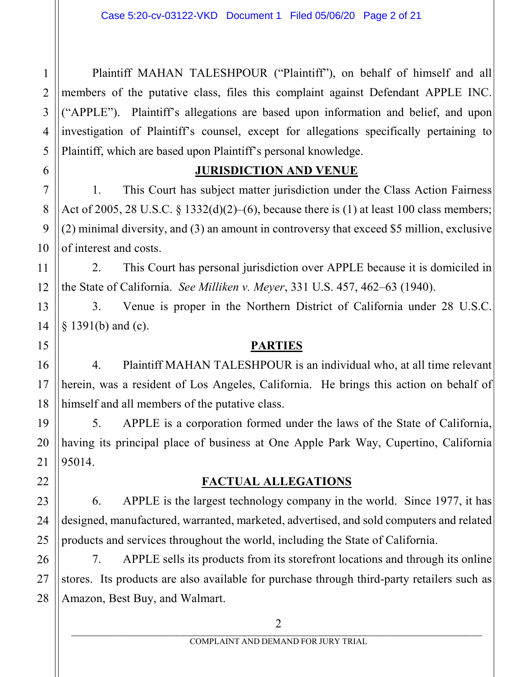Plaintiff MAHAN TALESHPOUR ("Plaintiff"), on behalf of himself and all members of the putative class, files this complaint against Defendant APPLE INC. ("APPLE"). Plaintiff's allegations are based upon information and belief, and upon investigation of Plaintiff's counsel, except for allegations specifically pertaining to Plaintiff, which are based upon Plaintiff's personal knowledge.

## **JURISDICTION AND VENUE**

1. This Court has subject matter jurisdiction under the Class Action Fairness Act of 2005, 28 U.S.C. § 1332(d)(2)–(6), because there is (1) at least 100 class members; (2) minimal diversity, and (3) an amount in controversy that exceed \$5 million, exclusive of interest and costs.

2. This Court has personal jurisdiction over APPLE because it is domiciled in the State of California. *See Milliken v. Meyer*, 331 U.S. 457, 462–63 (1940).

3. Venue is proper in the Northern District of California under 28 U.S.C. § 1391(b) and (c).

## **PARTIES**

4. Plaintiff MAHAN TALESHPOUR is an individual who, at all time relevant herein, was a resident of Los Angeles, California. He brings this action on behalf of himself and all members of the putative class.

5. APPLE is a corporation formed under the laws of the State of California, having its principal place of business at One Apple Park Way, Cupertino, California 95014.

## **FACTUAL ALLEGATIONS**

6. APPLE is the largest technology company in the world. Since 1977, it has designed, manufactured, warranted, marketed, advertised, and sold computers and related products and services throughout the world, including the State of California.

7. APPLE sells its products from its storefront locations and through its online stores. Its products are also available for purchase through third-party retailers such as Amazon, Best Buy, and Walmart.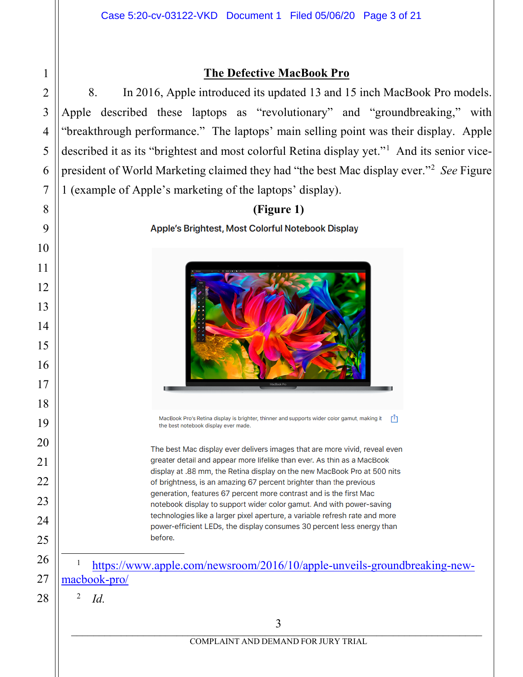### **The Defective MacBook Pro**

8. In 2016, Apple introduced its updated 13 and 15 inch MacBook Pro models. Apple described these laptops as "revolutionary" and "groundbreaking," with "breakthrough performance." The laptops' main selling point was their display. Apple described it as its "brightest and most colorful Retina display yet."<sup>[1](#page-2-0)</sup> And its senior vicepresident of World Marketing claimed they had "the best Mac display ever."[2](#page-2-1) *See* Figure 1 (example of Apple's marketing of the laptops' display).



MacBook Pro's Retina display is brighter, thinner and supports wider color gamut, making it  $\int_{0}^{\pi}$ the best notebook display ever made.

The best Mac display ever delivers images that are more vivid, reveal even greater detail and appear more lifelike than ever. As thin as a MacBook display at .88 mm, the Retina display on the new MacBook Pro at 500 nits of brightness, is an amazing 67 percent brighter than the previous generation, features 67 percent more contrast and is the first Mac notebook display to support wider color gamut. And with power-saving technologies like a larger pixel aperture, a variable refresh rate and more power-efficient LEDs, the display consumes 30 percent less energy than before.

 1 [https://www.apple.com/newsroom/2016/10/apple-unveils-groundbreaking-new](https://www.apple.com/newsroom/2016/10/apple-unveils-groundbreaking-new-macbook-pro/)[macbook-pro/](https://www.apple.com/newsroom/2016/10/apple-unveils-groundbreaking-new-macbook-pro/)

<sup>2</sup> *Id.*

1

2

3

4

5

6

7

8

9

10

11

12

13

14

15

16

17

18

19

20

21

22

23

24

25

<span id="page-2-0"></span>26

<span id="page-2-1"></span>27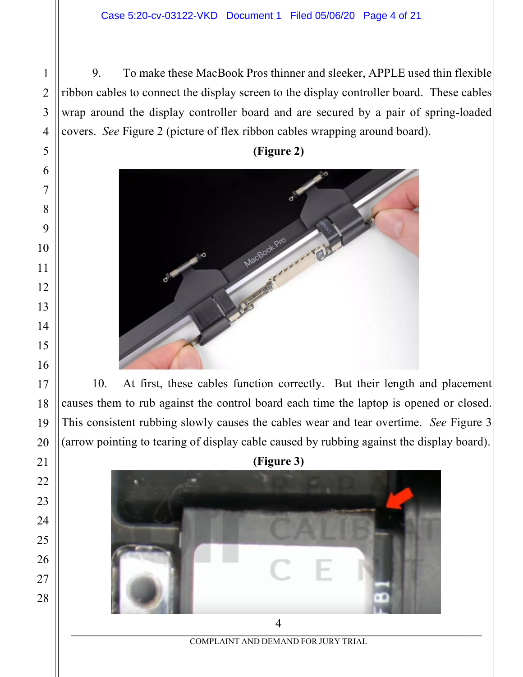9. To make these MacBook Pros thinner and sleeker, APPLE used thin flexible ribbon cables to connect the display screen to the display controller board. These cables wrap around the display controller board and are secured by a pair of spring-loaded covers. *See* Figure 2 (picture of flex ribbon cables wrapping around board).

**(Figure 2)**



10. At first, these cables function correctly. But their length and placement causes them to rub against the control board each time the laptop is opened or closed. This consistent rubbing slowly causes the cables wear and tear overtime. *See* Figure 3 (arrow pointing to tearing of display cable caused by rubbing against the display board).





COMPLAINT AND DEMAND FOR JURY TRIAL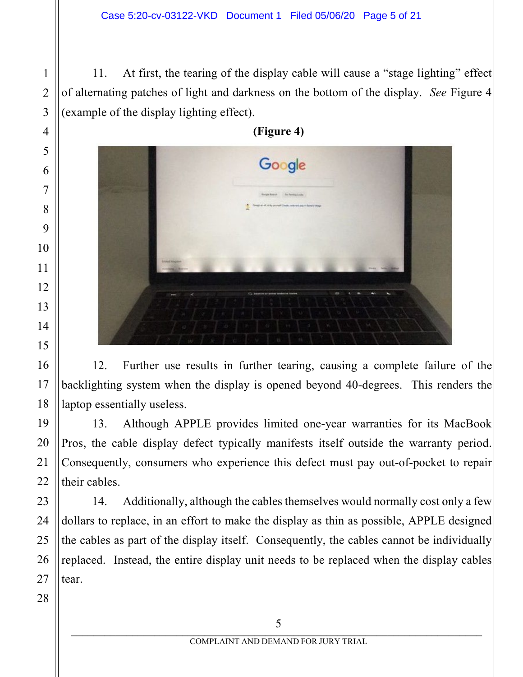11. At first, the tearing of the display cable will cause a "stage lighting" effect of alternating patches of light and darkness on the bottom of the display. *See* Figure 4 (example of the display lighting effect).



12. Further use results in further tearing, causing a complete failure of the backlighting system when the display is opened beyond 40-degrees. This renders the laptop essentially useless.

13. Although APPLE provides limited one-year warranties for its MacBook Pros, the cable display defect typically manifests itself outside the warranty period. Consequently, consumers who experience this defect must pay out-of-pocket to repair their cables.

14. Additionally, although the cables themselves would normally cost only a few dollars to replace, in an effort to make the display as thin as possible, APPLE designed the cables as part of the display itself. Consequently, the cables cannot be individually replaced. Instead, the entire display unit needs to be replaced when the display cables tear.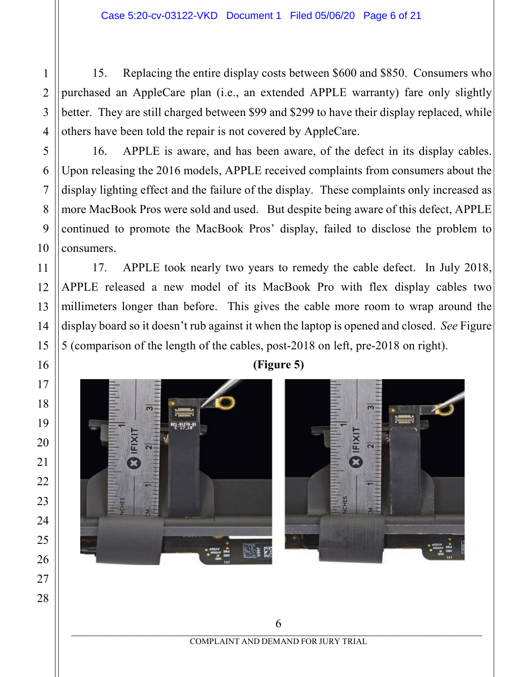15. Replacing the entire display costs between \$600 and \$850. Consumers who purchased an AppleCare plan (i.e., an extended APPLE warranty) fare only slightly better. They are still charged between \$99 and \$299 to have their display replaced, while others have been told the repair is not covered by AppleCare.

16. APPLE is aware, and has been aware, of the defect in its display cables. Upon releasing the 2016 models, APPLE received complaints from consumers about the display lighting effect and the failure of the display. These complaints only increased as more MacBook Pros were sold and used. But despite being aware of this defect, APPLE continued to promote the MacBook Pros' display, failed to disclose the problem to consumers.

17. APPLE took nearly two years to remedy the cable defect. In July 2018, APPLE released a new model of its MacBook Pro with flex display cables two millimeters longer than before. This gives the cable more room to wrap around the display board so it doesn't rub against it when the laptop is opened and closed. *See* Figure 5 (comparison of the length of the cables, post-2018 on left, pre-2018 on right).



 $\overline{0}$ COMPLAINT AND DEMAND FOR JURY TRIAL 

**(Figure 5)**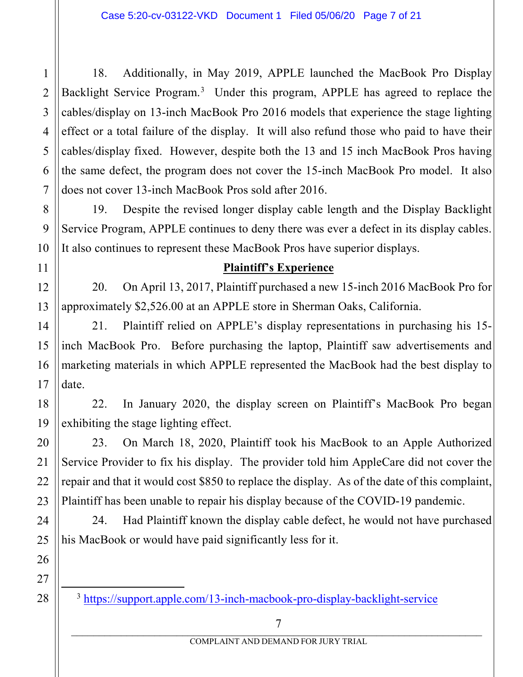18. Additionally, in May 2019, APPLE launched the MacBook Pro Display Backlight Service Program.<sup>[3](#page-6-0)</sup> Under this program, APPLE has agreed to replace the cables/display on 13-inch MacBook Pro 2016 models that experience the stage lighting effect or a total failure of the display. It will also refund those who paid to have their cables/display fixed. However, despite both the 13 and 15 inch MacBook Pros having the same defect, the program does not cover the 15-inch MacBook Pro model. It also does not cover 13-inch MacBook Pros sold after 2016.

19. Despite the revised longer display cable length and the Display Backlight Service Program, APPLE continues to deny there was ever a defect in its display cables. It also continues to represent these MacBook Pros have superior displays.

#### **Plaintiff's Experience**

20. On April 13, 2017, Plaintiff purchased a new 15-inch 2016 MacBook Pro for approximately \$2,526.00 at an APPLE store in Sherman Oaks, California.

21. Plaintiff relied on APPLE's display representations in purchasing his 15 inch MacBook Pro. Before purchasing the laptop, Plaintiff saw advertisements and marketing materials in which APPLE represented the MacBook had the best display to date.

22. In January 2020, the display screen on Plaintiff's MacBook Pro began exhibiting the stage lighting effect.

23. On March 18, 2020, Plaintiff took his MacBook to an Apple Authorized Service Provider to fix his display. The provider told him AppleCare did not cover the repair and that it would cost \$850 to replace the display. As of the date of this complaint, Plaintiff has been unable to repair his display because of the COVID-19 pandemic.

24. Had Plaintiff known the display cable defect, he would not have purchased his MacBook or would have paid significantly less for it.

<span id="page-6-0"></span>3 <https://support.apple.com/13-inch-macbook-pro-display-backlight-service>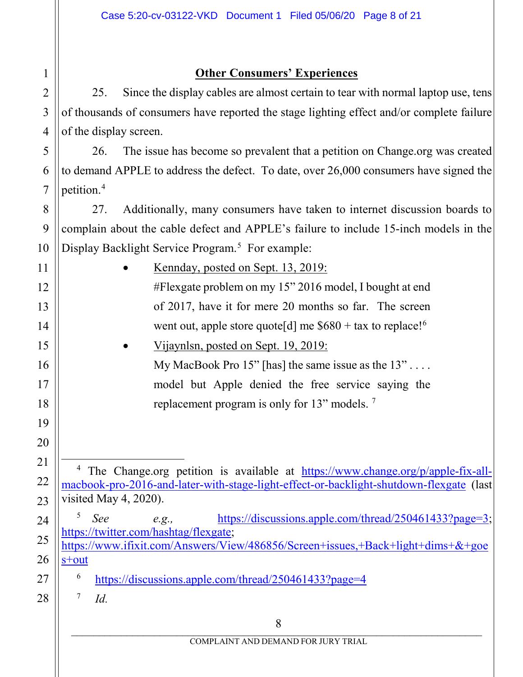### **Other Consumers' Experiences**

25. Since the display cables are almost certain to tear with normal laptop use, tens of thousands of consumers have reported the stage lighting effect and/or complete failure of the display screen.

26. The issue has become so prevalent that a petition on Change.org was created to demand APPLE to address the defect. To date, over 26,000 consumers have signed the petition.[4](#page-7-0)

27. Additionally, many consumers have taken to internet discussion boards to complain about the cable defect and APPLE's failure to include 15-inch models in the Display Backlight Service Program. [5](#page-7-1) For example:

> • Kennday, posted on Sept. 13, 2019: #Flexgate problem on my 15" 2016 model, I bought at end of 2017, have it for mere 20 months so far. The screen went out, apple store quote[d] me  $$680 + tax$  $$680 + tax$  $$680 + tax$  to replace!<sup>6</sup> • Vijaynlsn, posted on Sept. 19, 2019: My MacBook Pro  $15$ " [has] the same issue as the  $13$ " ... model but Apple denied the free service saying the

replacement program is only for 13" models. [7](#page-7-3)

<sup>4</sup> The Change.org petition is available at [https://www.change.org/p/apple-fix-all](https://www.change.org/p/apple-fix-all-macbook-pro-2016-and-later-with-stage-light-effect-or-backlight-shutdown-flexgate)[macbook-pro-2016-and-later-with-stage-light-effect-or-backlight-shutdown-flexgate](https://www.change.org/p/apple-fix-all-macbook-pro-2016-and-later-with-stage-light-effect-or-backlight-shutdown-flexgate) (last visited May 4, 2020).

<sup>5</sup> *See e.g.,* [https://discussions.apple.com/thread/250461433?page=3;](https://discussions.apple.com/thread/250461433?page=3) [https://twitter.com/hashtag/flexgate;](https://twitter.com/hashtag/flexgate) [https://www.ifixit.com/Answers/View/486856/Screen+issues,+Back+light+dims+&+goe](https://www.ifixit.com/Answers/View/486856/Screen+issues,+Back+light+dims+&+goes+out) [s+out](https://www.ifixit.com/Answers/View/486856/Screen+issues,+Back+light+dims+&+goes+out)

<sup>6</sup> <https://discussions.apple.com/thread/250461433?page=4>

 $^7$  *Id.* 

1

2

3

4

5

6

7

8

9

10

11

12

13

14

15

16

17

18

19

20

<span id="page-7-0"></span>21

22

23

<span id="page-7-1"></span>24

25

26

<span id="page-7-3"></span><span id="page-7-2"></span>27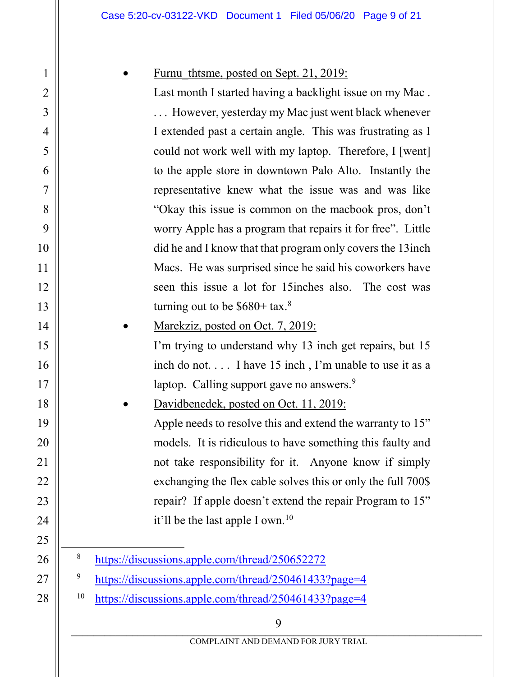### Furnu thtsme, posted on Sept. 21, 2019:

Last month I started having a backlight issue on my Mac . . . . However, yesterday my Mac just went black whenever I extended past a certain angle. This was frustrating as I could not work well with my laptop. Therefore, I [went] to the apple store in downtown Palo Alto. Instantly the representative knew what the issue was and was like "Okay this issue is common on the macbook pros, don't worry Apple has a program that repairs it for free". Little did he and I know that that program only covers the 13inch Macs. He was surprised since he said his coworkers have seen this issue a lot for 15inches also. The cost was turning out to be  $$680+$  $$680+$  $$680+$  tax.<sup>8</sup>

Marekziz, posted on Oct. 7, 2019:

I'm trying to understand why 13 inch get repairs, but 15 inch do not. . . . I have 15 inch , I'm unable to use it as a laptop. Calling support gave no answers.<sup>[9](#page-8-1)</sup>

• Davidbenedek, posted on Oct. 11, 2019: Apple needs to resolve this and extend the warranty to 15" models. It is ridiculous to have something this faulty and not take responsibility for it. Anyone know if simply exchanging the flex cable solves this or only the full 700\$ repair? If apple doesn't extend the repair Program to 15" it'll be the last apple I own.<sup>[10](#page-8-2)</sup>

<span id="page-8-2"></span><sup>10</sup> <https://discussions.apple.com/thread/250461433?page=4>

 <sup>8</sup> <https://discussions.apple.com/thread/250652272>

<span id="page-8-1"></span><span id="page-8-0"></span><sup>9</sup> <https://discussions.apple.com/thread/250461433?page=4>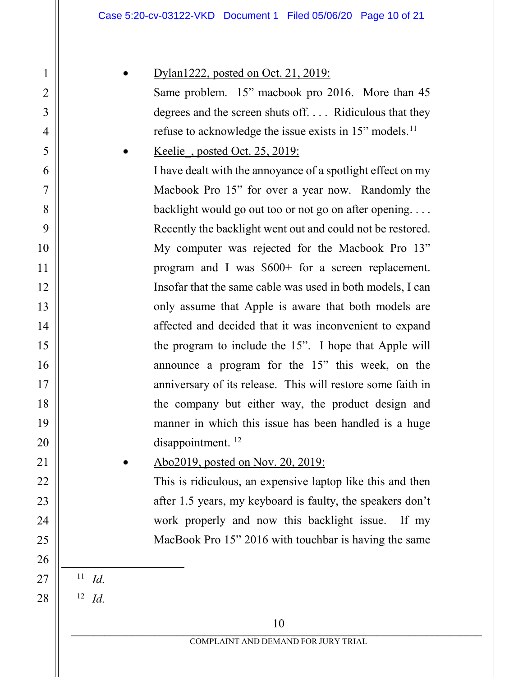## • Dylan1222, posted on Oct. 21, 2019:

Same problem. 15" macbook pro 2016. More than 45 degrees and the screen shuts off. . . . Ridiculous that they refuse to acknowledge the issue exists in 15" models.<sup>[11](#page-9-0)</sup>

Keelie, posted Oct. 25, 2019:

I have dealt with the annoyance of a spotlight effect on my Macbook Pro 15" for over a year now. Randomly the backlight would go out too or not go on after opening. . . . Recently the backlight went out and could not be restored. My computer was rejected for the Macbook Pro 13" program and I was \$600+ for a screen replacement. Insofar that the same cable was used in both models, I can only assume that Apple is aware that both models are affected and decided that it was inconvenient to expand the program to include the 15". I hope that Apple will announce a program for the 15" this week, on the anniversary of its release. This will restore some faith in the company but either way, the product design and manner in which this issue has been handled is a huge disappointment.<sup>[12](#page-9-1)</sup>

### • Abo2019, posted on Nov. 20, 2019:

This is ridiculous, an expensive laptop like this and then after 1.5 years, my keyboard is faulty, the speakers don't work properly and now this backlight issue. If my MacBook Pro 15" 2016 with touchbar is having the same

<span id="page-9-0"></span>11 *Id.* 

<span id="page-9-1"></span><sup>12</sup> *Id.*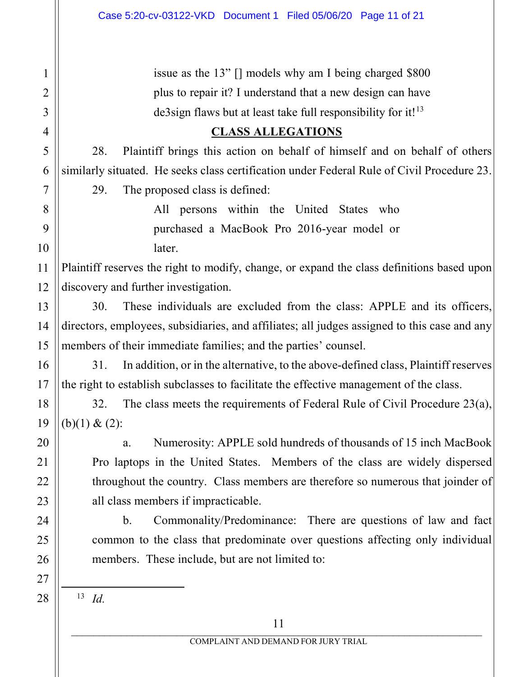issue as the 13" [] models why am I being charged \$800 plus to repair it? I understand that a new design can have de3sign flaws but at least take full responsibility for it! $13$ 

### **CLASS ALLEGATIONS**

28. Plaintiff brings this action on behalf of himself and on behalf of others similarly situated. He seeks class certification under Federal Rule of Civil Procedure 23.

29. The proposed class is defined:

All persons within the United States who purchased a MacBook Pro 2016-year model or later.

12 Plaintiff reserves the right to modify, change, or expand the class definitions based upon discovery and further investigation.

30. These individuals are excluded from the class: APPLE and its officers, directors, employees, subsidiaries, and affiliates; all judges assigned to this case and any members of their immediate families; and the parties' counsel.

31. In addition, or in the alternative, to the above-defined class, Plaintiff reserves the right to establish subclasses to facilitate the effective management of the class.

32. The class meets the requirements of Federal Rule of Civil Procedure 23(a),  $(b)(1) & (2)$ :

a. Numerosity: APPLE sold hundreds of thousands of 15 inch MacBook Pro laptops in the United States. Members of the class are widely dispersed throughout the country. Class members are therefore so numerous that joinder of all class members if impracticable.

b. Commonality/Predominance: There are questions of law and fact common to the class that predominate over questions affecting only individual members. These include, but are not limited to:

 $13$  *Id.* 

1

2

3

4

5

6

7

8

9

10

11

13

14

15

16

17

18

19

20

21

22

23

24

25

26

<span id="page-10-0"></span>27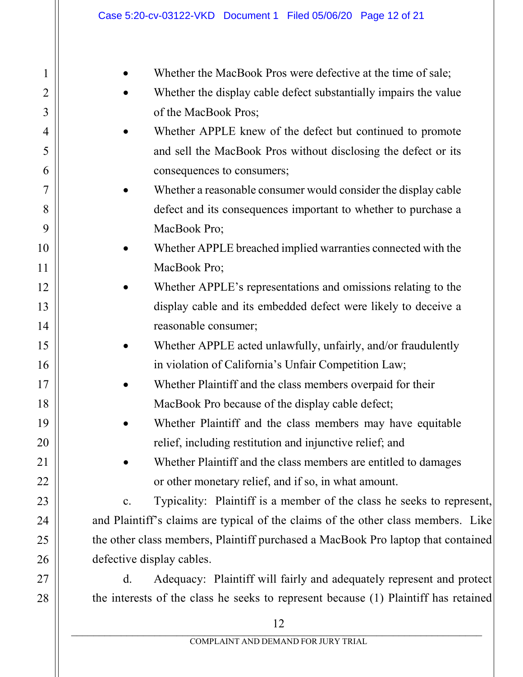| 1               |  |
|-----------------|--|
|                 |  |
| 3               |  |
| 4               |  |
| 5               |  |
| 6               |  |
| $\overline{7}$  |  |
| 8               |  |
| 9               |  |
| 10              |  |
| <sup>1</sup>    |  |
| $\overline{12}$ |  |
| 13              |  |
| $\frac{14}{5}$  |  |
| 15              |  |
| 16              |  |
| 17              |  |
| 18              |  |
| 19              |  |
| $20^{\circ}$    |  |
| $\overline{21}$ |  |
| 22              |  |
| 23              |  |
| 24              |  |
| 25              |  |
| 26              |  |
| 27              |  |
| $^{28}$         |  |

Whether the MacBook Pros were defective at the time of sale;

- Whether the display cable defect substantially impairs the value of the MacBook Pros;
- Whether APPLE knew of the defect but continued to promote and sell the MacBook Pros without disclosing the defect or its consequences to consumers;
- Whether a reasonable consumer would consider the display cable defect and its consequences important to whether to purchase a MacBook Pro;
- Whether APPLE breached implied warranties connected with the MacBook Pro;
- Whether APPLE's representations and omissions relating to the display cable and its embedded defect were likely to deceive a reasonable consumer;
- Whether APPLE acted unlawfully, unfairly, and/or fraudulently in violation of California's Unfair Competition Law;
- Whether Plaintiff and the class members overpaid for their MacBook Pro because of the display cable defect;
- Whether Plaintiff and the class members may have equitable relief, including restitution and injunctive relief; and
- Whether Plaintiff and the class members are entitled to damages or other monetary relief, and if so, in what amount.

c. Typicality: Plaintiff is a member of the class he seeks to represent, and Plaintiff's claims are typical of the claims of the other class members. Like the other class members, Plaintiff purchased a MacBook Pro laptop that contained defective display cables.

d. Adequacy: Plaintiff will fairly and adequately represent and protect the interests of the class he seeks to represent because (1) Plaintiff has retained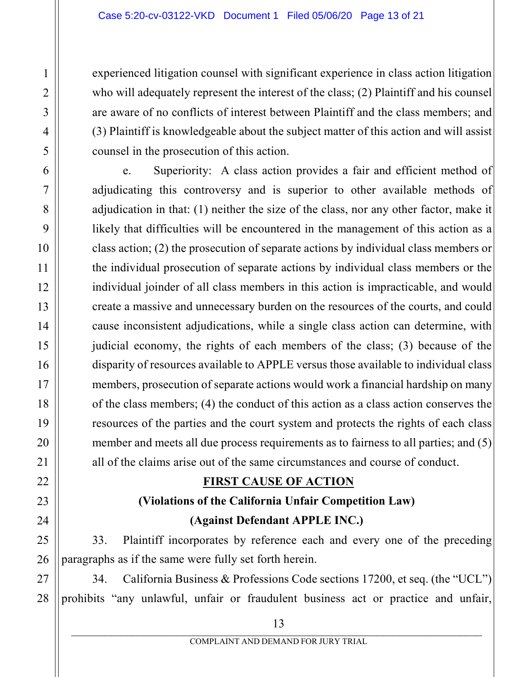experienced litigation counsel with significant experience in class action litigation who will adequately represent the interest of the class; (2) Plaintiff and his counsel are aware of no conflicts of interest between Plaintiff and the class members; and (3) Plaintiff is knowledgeable about the subject matter of this action and will assist counsel in the prosecution of this action.

e. Superiority: A class action provides a fair and efficient method of adjudicating this controversy and is superior to other available methods of adjudication in that: (1) neither the size of the class, nor any other factor, make it likely that difficulties will be encountered in the management of this action as a class action; (2) the prosecution of separate actions by individual class members or the individual prosecution of separate actions by individual class members or the individual joinder of all class members in this action is impracticable, and would create a massive and unnecessary burden on the resources of the courts, and could cause inconsistent adjudications, while a single class action can determine, with judicial economy, the rights of each members of the class; (3) because of the disparity of resources available to APPLE versus those available to individual class members, prosecution of separate actions would work a financial hardship on many of the class members; (4) the conduct of this action as a class action conserves the resources of the parties and the court system and protects the rights of each class member and meets all due process requirements as to fairness to all parties; and (5) all of the claims arise out of the same circumstances and course of conduct.

### **FIRST CAUSE OF ACTION**

# **(Violations of the California Unfair Competition Law) (Against Defendant APPLE INC.)**

33. Plaintiff incorporates by reference each and every one of the preceding paragraphs as if the same were fully set forth herein.

34. California Business & Professions Code sections 17200, et seq. (the "UCL") prohibits "any unlawful, unfair or fraudulent business act or practice and unfair,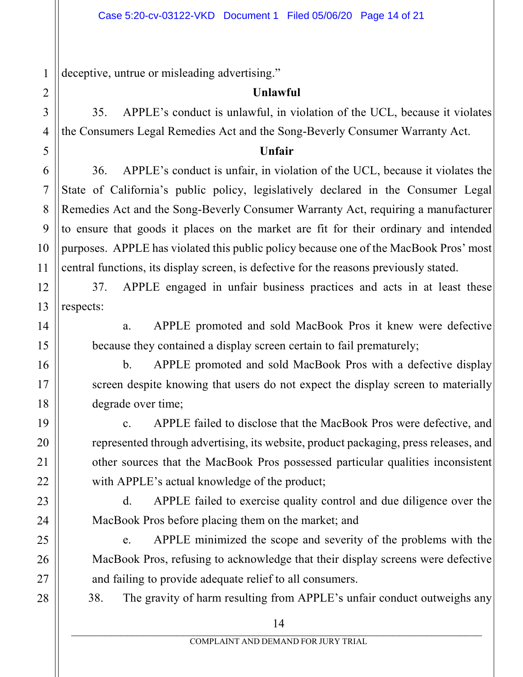deceptive, untrue or misleading advertising."

## **Unlawful**

35. APPLE's conduct is unlawful, in violation of the UCL, because it violates the Consumers Legal Remedies Act and the Song-Beverly Consumer Warranty Act.

### **Unfair**

36. APPLE's conduct is unfair, in violation of the UCL, because it violates the State of California's public policy, legislatively declared in the Consumer Legal Remedies Act and the Song-Beverly Consumer Warranty Act, requiring a manufacturer to ensure that goods it places on the market are fit for their ordinary and intended purposes. APPLE has violated this public policy because one of the MacBook Pros' most central functions, its display screen, is defective for the reasons previously stated.

37. APPLE engaged in unfair business practices and acts in at least these respects:

a. APPLE promoted and sold MacBook Pros it knew were defective because they contained a display screen certain to fail prematurely;

b. APPLE promoted and sold MacBook Pros with a defective display screen despite knowing that users do not expect the display screen to materially degrade over time;

c. APPLE failed to disclose that the MacBook Pros were defective, and represented through advertising, its website, product packaging, press releases, and other sources that the MacBook Pros possessed particular qualities inconsistent with APPLE's actual knowledge of the product;

d. APPLE failed to exercise quality control and due diligence over the MacBook Pros before placing them on the market; and

e. APPLE minimized the scope and severity of the problems with the MacBook Pros, refusing to acknowledge that their display screens were defective and failing to provide adequate relief to all consumers.

38. The gravity of harm resulting from APPLE's unfair conduct outweighs any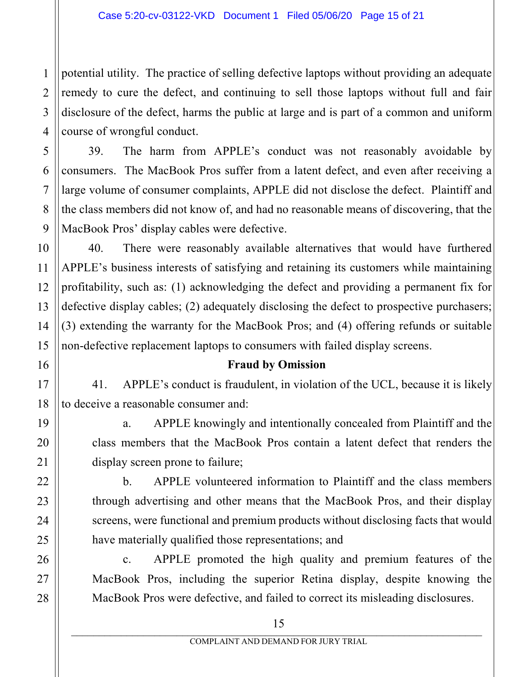potential utility. The practice of selling defective laptops without providing an adequate remedy to cure the defect, and continuing to sell those laptops without full and fair disclosure of the defect, harms the public at large and is part of a common and uniform course of wrongful conduct.

39. The harm from APPLE's conduct was not reasonably avoidable by consumers. The MacBook Pros suffer from a latent defect, and even after receiving a large volume of consumer complaints, APPLE did not disclose the defect. Plaintiff and the class members did not know of, and had no reasonable means of discovering, that the MacBook Pros' display cables were defective.

40. There were reasonably available alternatives that would have furthered APPLE's business interests of satisfying and retaining its customers while maintaining profitability, such as: (1) acknowledging the defect and providing a permanent fix for defective display cables; (2) adequately disclosing the defect to prospective purchasers; (3) extending the warranty for the MacBook Pros; and (4) offering refunds or suitable non-defective replacement laptops to consumers with failed display screens.

### **Fraud by Omission**

41. APPLE's conduct is fraudulent, in violation of the UCL, because it is likely to deceive a reasonable consumer and:

a. APPLE knowingly and intentionally concealed from Plaintiff and the class members that the MacBook Pros contain a latent defect that renders the display screen prone to failure;

b. APPLE volunteered information to Plaintiff and the class members through advertising and other means that the MacBook Pros, and their display screens, were functional and premium products without disclosing facts that would have materially qualified those representations; and

c. APPLE promoted the high quality and premium features of the MacBook Pros, including the superior Retina display, despite knowing the MacBook Pros were defective, and failed to correct its misleading disclosures.

1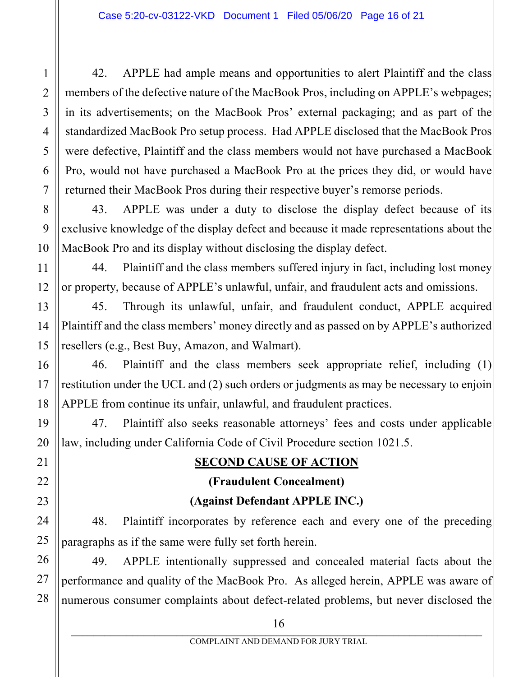42. APPLE had ample means and opportunities to alert Plaintiff and the class members of the defective nature of the MacBook Pros, including on APPLE's webpages; in its advertisements; on the MacBook Pros' external packaging; and as part of the standardized MacBook Pro setup process. Had APPLE disclosed that the MacBook Pros were defective, Plaintiff and the class members would not have purchased a MacBook Pro, would not have purchased a MacBook Pro at the prices they did, or would have returned their MacBook Pros during their respective buyer's remorse periods.

43. APPLE was under a duty to disclose the display defect because of its exclusive knowledge of the display defect and because it made representations about the MacBook Pro and its display without disclosing the display defect.

44. Plaintiff and the class members suffered injury in fact, including lost money or property, because of APPLE's unlawful, unfair, and fraudulent acts and omissions.

45. Through its unlawful, unfair, and fraudulent conduct, APPLE acquired Plaintiff and the class members' money directly and as passed on by APPLE's authorized resellers (e.g., Best Buy, Amazon, and Walmart).

46. Plaintiff and the class members seek appropriate relief, including (1) restitution under the UCL and (2) such orders or judgments as may be necessary to enjoin APPLE from continue its unfair, unlawful, and fraudulent practices.

47. Plaintiff also seeks reasonable attorneys' fees and costs under applicable law, including under California Code of Civil Procedure section 1021.5.

## **SECOND CAUSE OF ACTION**

### **(Fraudulent Concealment)**

## **(Against Defendant APPLE INC.)**

48. Plaintiff incorporates by reference each and every one of the preceding paragraphs as if the same were fully set forth herein.

49. APPLE intentionally suppressed and concealed material facts about the performance and quality of the MacBook Pro. As alleged herein, APPLE was aware of numerous consumer complaints about defect-related problems, but never disclosed the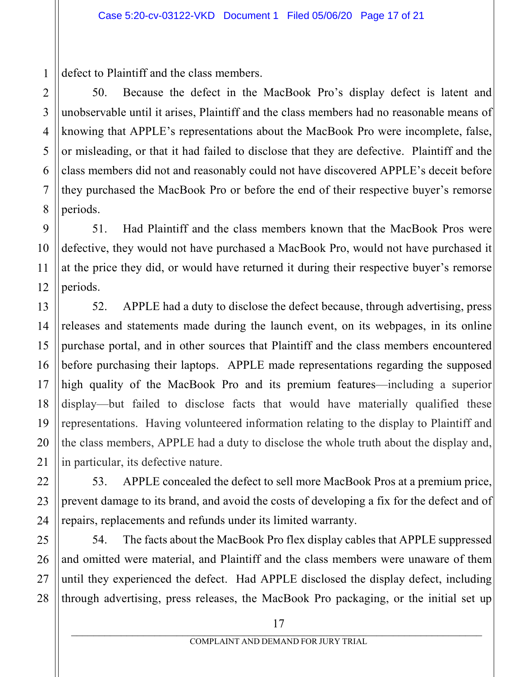defect to Plaintiff and the class members.

50. Because the defect in the MacBook Pro's display defect is latent and unobservable until it arises, Plaintiff and the class members had no reasonable means of knowing that APPLE's representations about the MacBook Pro were incomplete, false, or misleading, or that it had failed to disclose that they are defective. Plaintiff and the class members did not and reasonably could not have discovered APPLE's deceit before they purchased the MacBook Pro or before the end of their respective buyer's remorse periods.

51. Had Plaintiff and the class members known that the MacBook Pros were defective, they would not have purchased a MacBook Pro, would not have purchased it at the price they did, or would have returned it during their respective buyer's remorse periods.

52. APPLE had a duty to disclose the defect because, through advertising, press releases and statements made during the launch event, on its webpages, in its online purchase portal, and in other sources that Plaintiff and the class members encountered before purchasing their laptops. APPLE made representations regarding the supposed high quality of the MacBook Pro and its premium features—including a superior display—but failed to disclose facts that would have materially qualified these representations. Having volunteered information relating to the display to Plaintiff and the class members, APPLE had a duty to disclose the whole truth about the display and, in particular, its defective nature.

53. APPLE concealed the defect to sell more MacBook Pros at a premium price, prevent damage to its brand, and avoid the costs of developing a fix for the defect and of repairs, replacements and refunds under its limited warranty.

54. The facts about the MacBook Pro flex display cables that APPLE suppressed and omitted were material, and Plaintiff and the class members were unaware of them until they experienced the defect. Had APPLE disclosed the display defect, including through advertising, press releases, the MacBook Pro packaging, or the initial set up

17

1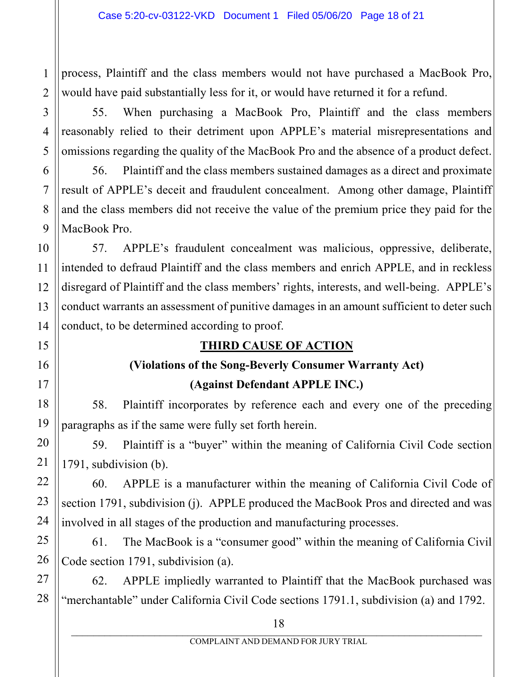process, Plaintiff and the class members would not have purchased a MacBook Pro, would have paid substantially less for it, or would have returned it for a refund.

55. When purchasing a MacBook Pro, Plaintiff and the class members reasonably relied to their detriment upon APPLE's material misrepresentations and omissions regarding the quality of the MacBook Pro and the absence of a product defect.

56. Plaintiff and the class members sustained damages as a direct and proximate result of APPLE's deceit and fraudulent concealment. Among other damage, Plaintiff and the class members did not receive the value of the premium price they paid for the MacBook Pro.

57. APPLE's fraudulent concealment was malicious, oppressive, deliberate, intended to defraud Plaintiff and the class members and enrich APPLE, and in reckless disregard of Plaintiff and the class members' rights, interests, and well-being. APPLE's conduct warrants an assessment of punitive damages in an amount sufficient to deter such conduct, to be determined according to proof.

# **THIRD CAUSE OF ACTION**

# **(Violations of the Song-Beverly Consumer Warranty Act) (Against Defendant APPLE INC.)**

58. Plaintiff incorporates by reference each and every one of the preceding paragraphs as if the same were fully set forth herein.

59. Plaintiff is a "buyer" within the meaning of California Civil Code section 1791, subdivision (b).

60. APPLE is a manufacturer within the meaning of California Civil Code of section 1791, subdivision (j). APPLE produced the MacBook Pros and directed and was involved in all stages of the production and manufacturing processes.

61. The MacBook is a "consumer good" within the meaning of California Civil Code section 1791, subdivision (a).

62. APPLE impliedly warranted to Plaintiff that the MacBook purchased was "merchantable" under California Civil Code sections 1791.1, subdivision (a) and 1792.

1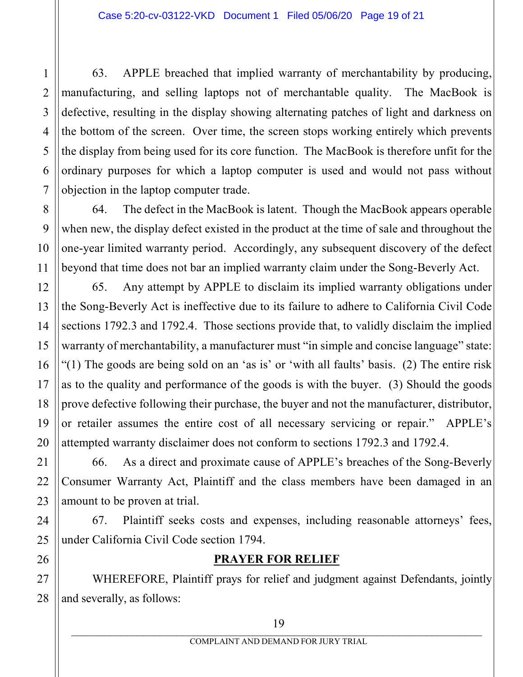63. APPLE breached that implied warranty of merchantability by producing, manufacturing, and selling laptops not of merchantable quality. The MacBook is defective, resulting in the display showing alternating patches of light and darkness on the bottom of the screen. Over time, the screen stops working entirely which prevents the display from being used for its core function. The MacBook is therefore unfit for the ordinary purposes for which a laptop computer is used and would not pass without objection in the laptop computer trade.

64. The defect in the MacBook is latent. Though the MacBook appears operable when new, the display defect existed in the product at the time of sale and throughout the one-year limited warranty period. Accordingly, any subsequent discovery of the defect beyond that time does not bar an implied warranty claim under the Song-Beverly Act.

65. Any attempt by APPLE to disclaim its implied warranty obligations under the Song-Beverly Act is ineffective due to its failure to adhere to California Civil Code sections 1792.3 and 1792.4. Those sections provide that, to validly disclaim the implied warranty of merchantability, a manufacturer must "in simple and concise language" state: "(1) The goods are being sold on an 'as is' or 'with all faults' basis. (2) The entire risk as to the quality and performance of the goods is with the buyer. (3) Should the goods prove defective following their purchase, the buyer and not the manufacturer, distributor, or retailer assumes the entire cost of all necessary servicing or repair." APPLE's attempted warranty disclaimer does not conform to sections 1792.3 and 1792.4.

66. As a direct and proximate cause of APPLE's breaches of the Song-Beverly Consumer Warranty Act, Plaintiff and the class members have been damaged in an amount to be proven at trial.

67. Plaintiff seeks costs and expenses, including reasonable attorneys' fees, under California Civil Code section 1794.

## **PRAYER FOR RELIEF**

WHEREFORE, Plaintiff prays for relief and judgment against Defendants, jointly and severally, as follows: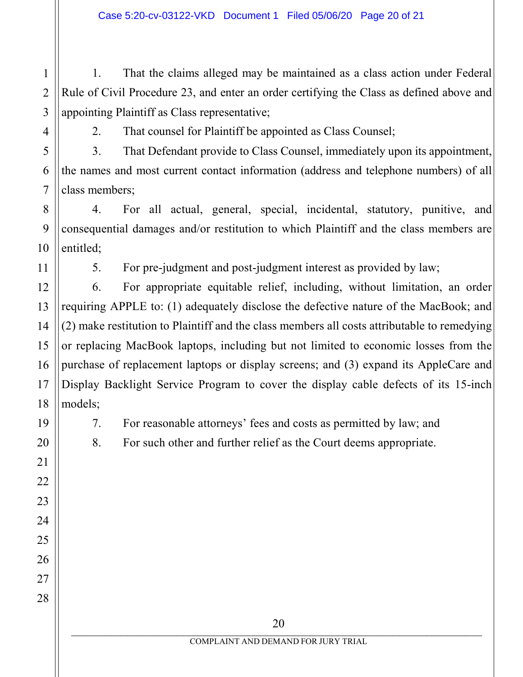1 2 3 1. That the claims alleged may be maintained as a class action under Federal Rule of Civil Procedure 23, and enter an order certifying the Class as defined above and appointing Plaintiff as Class representative;

4

5

6

7

8

9

10

11

12

13

14

15

16

17

18

19

20

21

22

23

24

25

26

27

28

2. That counsel for Plaintiff be appointed as Class Counsel;

3. That Defendant provide to Class Counsel, immediately upon its appointment, the names and most current contact information (address and telephone numbers) of all class members;

4. For all actual, general, special, incidental, statutory, punitive, and consequential damages and/or restitution to which Plaintiff and the class members are entitled;

5. For pre-judgment and post-judgment interest as provided by law;

6. For appropriate equitable relief, including, without limitation, an order requiring APPLE to: (1) adequately disclose the defective nature of the MacBook; and (2) make restitution to Plaintiff and the class members all costs attributable to remedying or replacing MacBook laptops, including but not limited to economic losses from the purchase of replacement laptops or display screens; and (3) expand its AppleCare and Display Backlight Service Program to cover the display cable defects of its 15-inch models;

7. For reasonable attorneys' fees and costs as permitted by law; and

8. For such other and further relief as the Court deems appropriate.